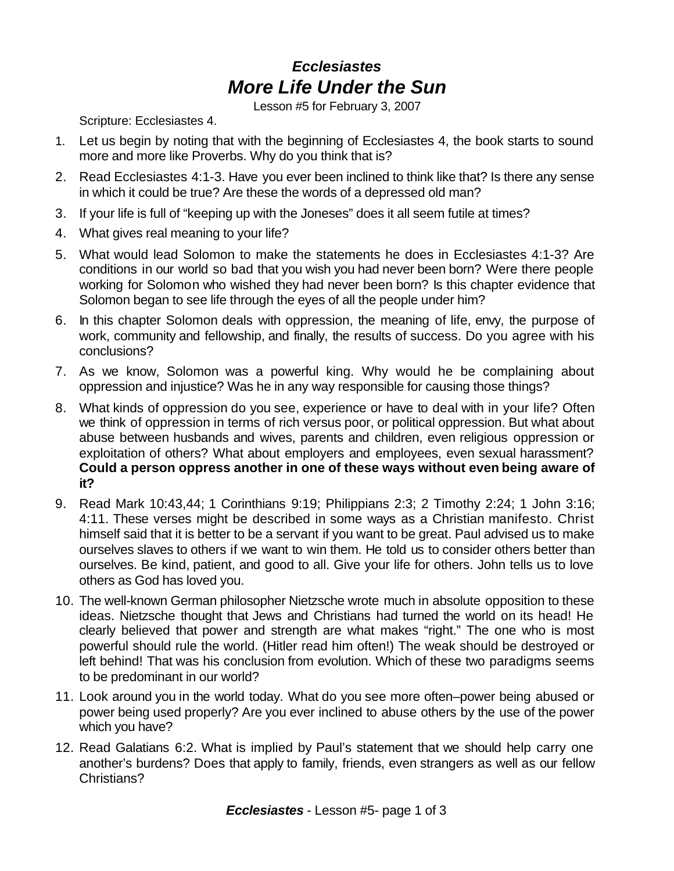## *Ecclesiastes More Life Under the Sun*

Lesson #5 for February 3, 2007

Scripture: Ecclesiastes 4.

- 1. Let us begin by noting that with the beginning of Ecclesiastes 4, the book starts to sound more and more like Proverbs. Why do you think that is?
- 2. Read Ecclesiastes 4:1-3. Have you ever been inclined to think like that? Is there any sense in which it could be true? Are these the words of a depressed old man?
- 3. If your life is full of "keeping up with the Joneses" does it all seem futile at times?
- 4. What gives real meaning to your life?
- 5. What would lead Solomon to make the statements he does in Ecclesiastes 4:1-3? Are conditions in our world so bad that you wish you had never been born? Were there people working for Solomon who wished they had never been born? Is this chapter evidence that Solomon began to see life through the eyes of all the people under him?
- 6. In this chapter Solomon deals with oppression, the meaning of life, envy, the purpose of work, community and fellowship, and finally, the results of success. Do you agree with his conclusions?
- 7. As we know, Solomon was a powerful king. Why would he be complaining about oppression and injustice? Was he in any way responsible for causing those things?
- 8. What kinds of oppression do you see, experience or have to deal with in your life? Often we think of oppression in terms of rich versus poor, or political oppression. But what about abuse between husbands and wives, parents and children, even religious oppression or exploitation of others? What about employers and employees, even sexual harassment? **Could a person oppress another in one of these ways without even being aware of it?**
- 9. Read Mark 10:43,44; 1 Corinthians 9:19; Philippians 2:3; 2 Timothy 2:24; 1 John 3:16; 4:11. These verses might be described in some ways as a Christian manifesto. Christ himself said that it is better to be a servant if you want to be great. Paul advised us to make ourselves slaves to others if we want to win them. He told us to consider others better than ourselves. Be kind, patient, and good to all. Give your life for others. John tells us to love others as God has loved you.
- 10. The well-known German philosopher Nietzsche wrote much in absolute opposition to these ideas. Nietzsche thought that Jews and Christians had turned the world on its head! He clearly believed that power and strength are what makes "right." The one who is most powerful should rule the world. (Hitler read him often!) The weak should be destroyed or left behind! That was his conclusion from evolution. Which of these two paradigms seems to be predominant in our world?
- 11. Look around you in the world today. What do you see more often–power being abused or power being used properly? Are you ever inclined to abuse others by the use of the power which you have?
- 12. Read Galatians 6:2. What is implied by Paul's statement that we should help carry one another's burdens? Does that apply to family, friends, even strangers as well as our fellow Christians?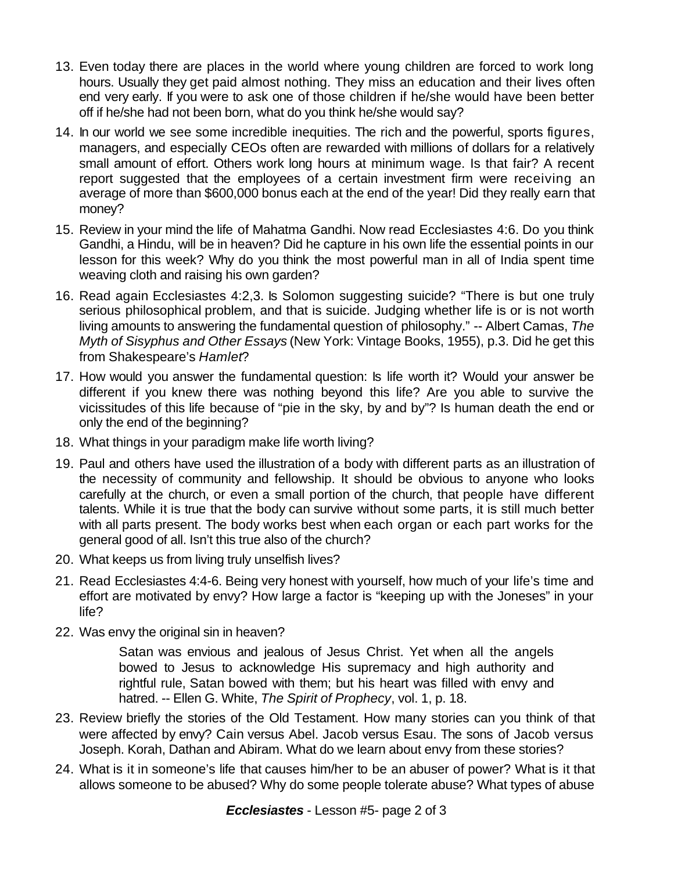- 13. Even today there are places in the world where young children are forced to work long hours. Usually they get paid almost nothing. They miss an education and their lives often end very early. If you were to ask one of those children if he/she would have been better off if he/she had not been born, what do you think he/she would say?
- 14. In our world we see some incredible inequities. The rich and the powerful, sports figures, managers, and especially CEOs often are rewarded with millions of dollars for a relatively small amount of effort. Others work long hours at minimum wage. Is that fair? A recent report suggested that the employees of a certain investment firm were receiving an average of more than \$600,000 bonus each at the end of the year! Did they really earn that money?
- 15. Review in your mind the life of Mahatma Gandhi. Now read Ecclesiastes 4:6. Do you think Gandhi, a Hindu, will be in heaven? Did he capture in his own life the essential points in our lesson for this week? Why do you think the most powerful man in all of India spent time weaving cloth and raising his own garden?
- 16. Read again Ecclesiastes 4:2,3. Is Solomon suggesting suicide? "There is but one truly serious philosophical problem, and that is suicide. Judging whether life is or is not worth living amounts to answering the fundamental question of philosophy." -- Albert Camas, *The Myth of Sisyphus and Other Essays* (New York: Vintage Books, 1955), p.3. Did he get this from Shakespeare's *Hamlet*?
- 17. How would you answer the fundamental question: Is life worth it? Would your answer be different if you knew there was nothing beyond this life? Are you able to survive the vicissitudes of this life because of "pie in the sky, by and by"? Is human death the end or only the end of the beginning?
- 18. What things in your paradigm make life worth living?
- 19. Paul and others have used the illustration of a body with different parts as an illustration of the necessity of community and fellowship. It should be obvious to anyone who looks carefully at the church, or even a small portion of the church, that people have different talents. While it is true that the body can survive without some parts, it is still much better with all parts present. The body works best when each organ or each part works for the general good of all. Isn't this true also of the church?
- 20. What keeps us from living truly unselfish lives?
- 21. Read Ecclesiastes 4:4-6. Being very honest with yourself, how much of your life's time and effort are motivated by envy? How large a factor is "keeping up with the Joneses" in your life?
- 22. Was envy the original sin in heaven?

Satan was envious and jealous of Jesus Christ. Yet when all the angels bowed to Jesus to acknowledge His supremacy and high authority and rightful rule, Satan bowed with them; but his heart was filled with envy and hatred. -- Ellen G. White, *The Spirit of Prophecy*, vol. 1, p. 18.

- 23. Review briefly the stories of the Old Testament. How many stories can you think of that were affected by envy? Cain versus Abel. Jacob versus Esau. The sons of Jacob versus Joseph. Korah, Dathan and Abiram. What do we learn about envy from these stories?
- 24. What is it in someone's life that causes him/her to be an abuser of power? What is it that allows someone to be abused? Why do some people tolerate abuse? What types of abuse